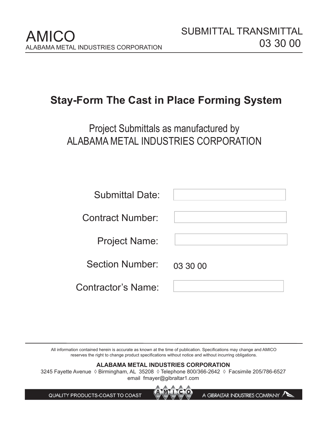A GIBRALTAR INDUSTRIES COMPANY

# **Stay-Form The Cast in Place Forming System**

Project Submittals as manufactured by ALABAMA METAL INDUSTRIES CORPORATION

| <b>Submittal Date:</b>    |          |
|---------------------------|----------|
| <b>Contract Number:</b>   |          |
| <b>Project Name:</b>      |          |
| <b>Section Number:</b>    | 03 30 00 |
| <b>Contractor's Name:</b> |          |

All information contained herein is accurate as known at the time of publication. Specifications may change and AMICO reserves the right to change product specifications without notice and without incurring obligations.

# **ALABAMA METAL INDUSTRIES CORPORATION**

3245 Fayette Avenue ◊ Birmingham, AL 35208 ◊ Telephone 800/366-2642 ◊ Facsimile 205/786-6527 email fmayer@gibraltar1.com

QUALITY PRODUCTS-COAST TO COAST